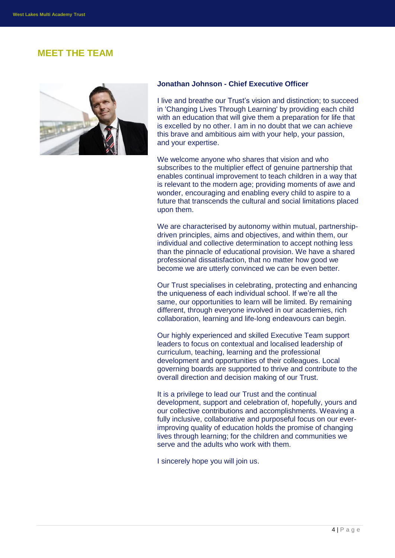# **MEET THE TEAM**



## **Jonathan Johnson - Chief Executive Officer**

I live and breathe our Trust's vision and distinction; to succeed in 'Changing Lives Through Learning' by providing each child with an education that will give them a preparation for life that is excelled by no other. I am in no doubt that we can achieve this brave and ambitious aim with your help, your passion, and your expertise.

We welcome anyone who shares that vision and who subscribes to the multiplier effect of genuine partnership that enables continual improvement to teach children in a way that is relevant to the modern age; providing moments of awe and wonder, encouraging and enabling every child to aspire to a future that transcends the cultural and social limitations placed upon them.

We are characterised by autonomy within mutual, partnershipdriven principles, aims and objectives, and within them, our individual and collective determination to accept nothing less than the pinnacle of educational provision. We have a shared professional dissatisfaction, that no matter how good we become we are utterly convinced we can be even better.

Our Trust specialises in celebrating, protecting and enhancing the uniqueness of each individual school. If we're all the same, our opportunities to learn will be limited. By remaining different, through everyone involved in our academies, rich collaboration, learning and life-long endeavours can begin.

Our highly experienced and skilled Executive Team support leaders to focus on contextual and localised leadership of curriculum, teaching, learning and the professional development and opportunities of their colleagues. Local governing boards are supported to thrive and contribute to the overall direction and decision making of our Trust.

It is a privilege to lead our Trust and the continual development, support and celebration of, hopefully, yours and our collective contributions and accomplishments. Weaving a fully inclusive, collaborative and purposeful focus on our everimproving quality of education holds the promise of changing lives through learning; for the children and communities we serve and the adults who work with them.

I sincerely hope you will join us.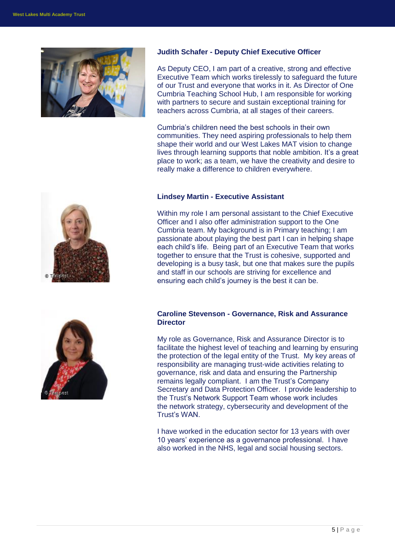

#### **Judith Schafer - Deputy Chief Executive Officer**

As Deputy CEO, I am part of a creative, strong and effective Executive Team which works tirelessly to safeguard the future of our Trust and everyone that works in it. As Director of One Cumbria Teaching School Hub, I am responsible for working with partners to secure and sustain exceptional training for teachers across Cumbria, at all stages of their careers.

Cumbria's children need the best schools in their own communities. They need aspiring professionals to help them shape their world and our West Lakes MAT vision to change lives through learning supports that noble ambition. It's a great place to work; as a team, we have the creativity and desire to really make a difference to children everywhere.

#### **Lindsey Martin - Executive Assistant**

Within my role I am personal assistant to the Chief Executive Officer and I also offer administration support to the One Cumbria team. My background is in Primary teaching; I am passionate about playing the best part I can in helping shape each child's life. Being part of an Executive Team that works together to ensure that the Trust is cohesive, supported and developing is a busy task, but one that makes sure the pupils and staff in our schools are striving for excellence and ensuring each child's journey is the best it can be.

## **Caroline Stevenson - Governance, Risk and Assurance Director**

My role as Governance, Risk and Assurance Director is to facilitate the highest level of teaching and learning by ensuring the protection of the legal entity of the Trust. My key areas of responsibility are managing trust-wide activities relating to governance, risk and data and ensuring the Partnership remains legally compliant. I am the Trust's Company Secretary and Data Protection Officer. I provide leadership to the Trust's Network Support Team whose work includes the network strategy, cybersecurity and development of the Trust's WAN.

I have worked in the education sector for 13 years with over 10 years' experience as a governance professional. I have also worked in the NHS, legal and social housing sectors.



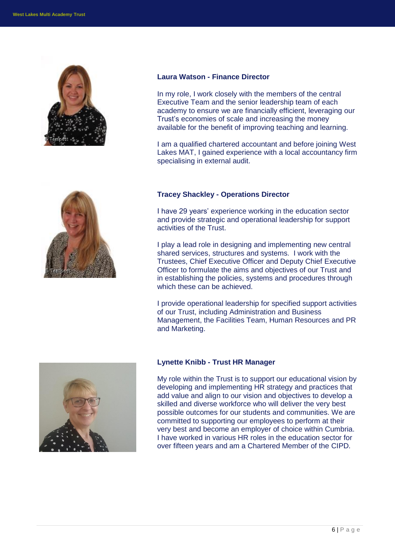



#### **Laura Watson - Finance Director**

In my role, I work closely with the members of the central Executive Team and the senior leadership team of each academy to ensure we are financially efficient, leveraging our Trust's economies of scale and increasing the money available for the benefit of improving teaching and learning.

I am a qualified chartered accountant and before joining West Lakes MAT, I gained experience with a local accountancy firm specialising in external audit.

## **Tracey Shackley - Operations Director**

I have 29 years' experience working in the education sector and provide strategic and operational leadership for support activities of the Trust.

I play a lead role in designing and implementing new central shared services, structures and systems. I work with the Trustees, Chief Executive Officer and Deputy Chief Executive Officer to formulate the aims and objectives of our Trust and in establishing the policies, systems and procedures through which these can be achieved.

I provide operational leadership for specified support activities of our Trust, including Administration and Business Management, the Facilities Team, Human Resources and PR and Marketing.



#### **Lynette Knibb - Trust HR Manager**

My role within the Trust is to support our educational vision by developing and implementing HR strategy and practices that add value and align to our vision and objectives to develop a skilled and diverse workforce who will deliver the very best possible outcomes for our students and communities. We are committed to supporting our employees to perform at their very best and become an employer of choice within Cumbria. I have worked in various HR roles in the education sector for over fifteen years and am a Chartered Member of the CIPD.